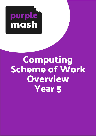

# **Computing Scheme of Work Overview Year 5**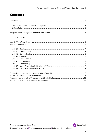# **Contents**



Need more support? Contact us: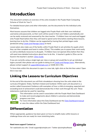# <span id="page-2-0"></span>**Introduction**

This document contains an overview of the units included in the Purple Mash Computing Scheme of Work for Year 5.

For detailed lesson plans and other information, see the documents for the individual units themselves.

Most lessons assume that children are logged onto Purple Mash with their own individual usernames and passwords, so their work will be saved in their own folders automatically and can be easily reviewed and assessed by the class teacher. If children have not used and logged onto Purple Mash before then they will need to spend some time before starting these lessons, learning how to do this. Children can be supported by having their printed logon cards (produced using [Create and Manage Users\)](https://www.purplemash.com/site#app/guides/Create_Manage_Users_Guide) to hand.

Lesson plans also make use of the facility within Purple Mash to set activities for pupils which they can then complete and hand-in online (2Dos). This enables you to assess their work easily as well as distribute resources to all pupils. If children have not opened 2Dos before then they will need more detailed instructions about how to do this. A teacher's guide to 2Dos can be found in the teacher's section: [2Dos Guide.](https://www.purplemash.com/site#app/guides/2dos_pdf_Guide)

If you are currently using a single login per class or group and would like to set up individual logins yourself, then please see our guide to doing so at [Create and Mange Users.](https://www.purplemash.com/site#app/guides/Create_Manage_Users_Guide) Alternatively, please contact support at [support@2simple.com](mailto:support@2simple.com) or 0208 203 1781.

To force links within this document to open in a new tab, right-click on the link then select 'Open link in new tab'.

# <span id="page-2-1"></span>**Linking the Lessons to Curriculum Objectives**

At the end of this document you will find a breakdown showing how the units relate to the curricula of England, Wales, Northern Ireland and Scotland. Within each unit document is a section called Assessment Guidance with exemplars of how a child at emerging, expected and exceeding level of achievement could demonstrate this in their work through the unit. These statements could also be used for reporting.



This information can be used in association with the Purple Mash Data Dashboard to make and record judgements about children's outcomes and demonstrate progress over time.

For more information about the Data Dashboard see the [Data Dashboard manual](https://www.purplemash.com/app/guides/Data_Dashboard_Users_Guide) or view the videos within the Data Dashboard tool.

### <span id="page-2-2"></span>**Differentiation**

Where appropriate, guidance has been given on how to simplify tasks within lessons or challenge those who are ready for more stretching tasks.

#### **Need more support? Contact us:**

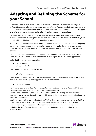# <span id="page-3-0"></span>**Adapting and Refining the Scheme for your School**

In an ideal world, pupils would be able to complete all units; this provides a wide range of different technological experiences using a variety of tools. The overlaps between units serve to deepen understanding of computational concepts and provide opportunities for pupils to apply and extend understanding and make links in their knowledge and capabilities.

However, as a school, you might decide that you need to refine the scheme for your own purposes and needs, meaning that not all units can be covered. This section aims to help you to do this whilst still being confident in curriculum coverage.

Firstly, use the colour coding to pick and choose units that cover the three strands of computing content to ensure a spread of complimentary opportunities and skills and to ensure curriculum coverage. Ideally, balance these strands over the whole school so that pupils cover and revisit all areas.

Secondly, look for opportunities to incorporate the computational skills into other subjects. Resources could be adapted or created to match your topics. Here are some suggestions:

Units that link to the maths curriculum:

- 5.4 Databases
- 5.3 Spreadsheets

Units that could be part of English lessons:

• 5.8 Word Processing

Units that could easily be topic linked; resources will need to be adapted to have a topic theme: Any of the data handling units suggested in the maths section.

• 5.5 Game Creator

For lessons taught more discretely as computing such as Email (3.5) and Blogging (6.4), topic themes could still be used to double-up on objectives covered.

Online safety units can be part of RSE\PSHE lessons; there is a strong link between the learning objectives related to online safety with many of the online safety lessons aligning with RSE\PSHE objectives.

We have a stand-alone spreadsheet unit for Y6, this does not rely upon having completed the other spreadsheet units so might be another way to familiarise pupils with spreadsheets without including a spreadsheet unit in each year groups. In this case, we would advise including the use of spreadsheets and other data programs within maths where there is a curricular link.

**Need more support? Contact us:** Tel: +44(0)208 203 1781 | Email: support@2simple.com | Twitter: @2simplesoftware

2 simple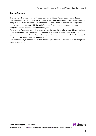#### <span id="page-4-0"></span>**Crash Courses**

There are crash course units for Spreadsheets using 2Calculate and Coding using 2Code. Use these units instead of the standard Spreadsheets and Coding units if the children have not completed the prior year's spreadsheets or coding units. The crash courses are designed to enable children to catch up with the main features of the units from previous years and progress onto the standard units in the next year.

For example, if you are a school that starts in year 3 with children joining from different settings who have not used the Purple Mash Computing Scheme, you would start with the crash courses in year 3 for Coding and Spreadsheets and then children will be ready for the standard units for coding and spreadsheets in year 4.

Use these units if your school has just started using the scheme so children have not completed the prior year units.



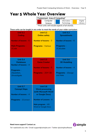# <span id="page-5-0"></span>**Year 5 Whole Year Overview**

| Predominant Area of Computing* |             |  |          |
|--------------------------------|-------------|--|----------|
| Computer                       | Information |  | Digital  |
| Science                        | Technology  |  | Literacy |

\*Most units will include aspects of all strands.

**These units can be taught in any order to meet the needs of your wider curriculum.**

| <b>Unit 5.1</b><br><b>Coding</b><br>Number of lessons $-6$<br><b>Main Programs-</b><br>2Code             | <b>Unit 5.2</b><br><b>Online safety</b><br>Number of lessons $-3$<br><b>Programs - Various</b>                                                                   | <b>Unit 5.3</b><br><b>Spreadsheets</b><br>Number of lessons $-6$<br>Programs-<br>2Calculate               |
|----------------------------------------------------------------------------------------------------------|------------------------------------------------------------------------------------------------------------------------------------------------------------------|-----------------------------------------------------------------------------------------------------------|
| <b>Unit 5.4</b><br><b>Databases</b><br>Number of lessons $-4$<br>Programs-<br>2Question,<br>2Investigate | <b>Unit 5.5</b><br><b>Game Creator</b><br>Number of lessons $-5$<br><b>Programs - 2DIY 3D</b>                                                                    | <b>Unit 5.6</b><br><b>3D Modelling</b><br>Number of lessons $-4$<br><b>Programs</b> - 2Design<br>and Make |
| <b>Unit 5.7</b><br><b>Concept Maps</b><br>Number of lessons $-4$<br><b>Programs</b> - 2Connect           | <b>Unit 5.8</b><br><b>Word processing</b><br>(with Microsoft Word<br>or Google Docs)<br>Number of Lessons - 8<br>Main program - MS<br><b>Word or Google Docs</b> |                                                                                                           |



**Need more support? Contact us:**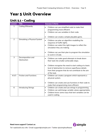# <span id="page-6-0"></span>**Year 5 Unit Overview**

# <span id="page-6-1"></span>**Unit 5.1 – Coding**

| <b>Lesson</b>  | <b>Title</b>                     | <b>Success Criteria</b>                                                                                                                                                                                                       |
|----------------|----------------------------------|-------------------------------------------------------------------------------------------------------------------------------------------------------------------------------------------------------------------------------|
| 1              | <b>Coding Efficiently</b>        | Children can use simplified code to make their<br>$\bullet$<br>programming more efficient.<br>Children can use variables in their code.<br>$\bullet$                                                                          |
|                |                                  | Children can create a simple playable game.<br>$\bullet$                                                                                                                                                                      |
| $\overline{2}$ | Simulating a Physical System     | Children can plan an algorithm modelling the<br>$\bullet$<br>sequence of traffic lights.<br>Children can select the right images to reflect the<br>$\bullet$<br>simulation they are making.                                   |
|                |                                  | Children can use their plan to program the simulation<br>$\bullet$<br>to work in 2Code.                                                                                                                                       |
| 3              | Decomposition and<br>Abstraction | Children can make good attempts to break down<br>$\bullet$<br>their task into smaller achievable steps.                                                                                                                       |
|                |                                  | Children recognise the need to start coding at a basic<br>$\bullet$<br>level of abstraction to remove superfluous details<br>from their program that do not contribute to the aim<br>of the task.                             |
| 4 & 5          | <b>Friction and Functions</b>    | Children can create a program which represents a<br>$\bullet$<br>physical system.                                                                                                                                             |
|                |                                  | Children can create and use functions in their code to<br>$\bullet$<br>make their programming more efficient.                                                                                                                 |
| 6              | <b>Introducing Strings</b>       | Children can create and use strings in programming.<br>$\bullet$<br>Children can set/change variable values appropriately.<br>$\bullet$<br>Children know some ways that text variables can be<br>$\bullet$<br>used in coding. |

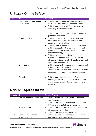### <span id="page-7-0"></span>**Unit 5.2 – Online Safety**

| Lesson | <b>Title</b>                                | <b>Success Criteria</b>                                                                                                                                                                                                                                                                                                                                                                                                                                                                                                                         |
|--------|---------------------------------------------|-------------------------------------------------------------------------------------------------------------------------------------------------------------------------------------------------------------------------------------------------------------------------------------------------------------------------------------------------------------------------------------------------------------------------------------------------------------------------------------------------------------------------------------------------|
| 1      | Responsibilities and Support<br>when Online | Children critically about the information that they<br>share online both about themself and others.<br>Children know who to tell if they are upset by<br>$\bullet$<br>something that happens online.<br>Children can use the SMART rules as a source of<br>guidance when online.                                                                                                                                                                                                                                                                |
| 2      | <b>Protecting Privacy</b>                   | Children think critically about what they share<br>$\bullet$<br>online, even when asked by a usually reliable<br>person to share something.<br>Children have clear ideas about good passwords.<br>$\bullet$<br>Children can see how they can use images and<br>$\bullet$<br>digital technology to create effects not possible<br>without technology.<br>Children have experienced how image<br>$\bullet$<br>manipulation could be used to upset them or<br>others even using simple, freely available tools and<br>little specialist knowledge. |
| 3      | <b>Citing Sources</b>                       | Children can cite all sources when researching and<br>$\bullet$<br>explain the importance of this.<br>Children select keywords and search techniques to<br>$\bullet$<br>find relevant information and increase reliability.                                                                                                                                                                                                                                                                                                                     |
| 4      | Reliability                                 | Children show an understanding of the<br>$\bullet$<br>advantages and disadvantages of different forms<br>of communication and when it is appropriate to<br>use each.                                                                                                                                                                                                                                                                                                                                                                            |

### <span id="page-7-1"></span>**Unit 5.3 - Spreadsheets**

| Lesson | <b>Title</b>                       | <b>Success Criteria</b>                                        |
|--------|------------------------------------|----------------------------------------------------------------|
|        | <b>Conversions of Measurements</b> | Children can create a formula in a spreadsheet to<br>$\bullet$ |
|        |                                    | convert m to cm.                                               |
|        |                                    | Children can apply this to creating a spreadsheet<br>$\bullet$ |
|        |                                    | that converts miles to km and vice versa.                      |
|        | The Count Tool                     | Children can use a spreadsheet to work out which<br>$\bullet$  |
|        |                                    | letters appear most often.                                     |
|        |                                    | Children can use the 'how many' tool.<br>$\bullet$             |
| 3      | Formulae Including the             | Children can use a spreadsheet to work out the<br>$\bullet$    |
|        | <b>Advanced Mode</b>               | area and perimeter of rectangles.                              |

#### **Need more support? Contact us:**



<sup>2</sup>simple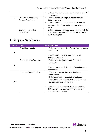|   |                             |           | Children can use these calculations to solve a real- |
|---|-----------------------------|-----------|------------------------------------------------------|
|   |                             |           | life problem.                                        |
| 4 | Using Text Variables to     | $\bullet$ | Children can create simple formulae that use         |
|   | <b>Perform Calculations</b> |           | different variables.                                 |
|   |                             | $\bullet$ | Children can create a formula that will work out     |
|   |                             |           | how many days there are in x number of weeks or      |
|   |                             |           | years.                                               |
| 5 | Event Planning with a       | $\bullet$ | Children can use a spreadsheet to model a real-life  |
|   | Spreadsheet                 |           | situation and come up with solutions that can be     |
|   |                             |           | practically applied.                                 |

### <span id="page-8-0"></span>**Unit 5.4 – Databases**

| Lesson | <b>Title</b>              | Success Criteria                                                                                                                                                                                  |
|--------|---------------------------|---------------------------------------------------------------------------------------------------------------------------------------------------------------------------------------------------|
| 1      | Searching a Database      | Children understand the different ways to search<br>a database.<br>Children can search a database to answer                                                                                       |
|        |                           | questions correctly.                                                                                                                                                                              |
| 2      | Creating a Class Database | Children can design an avatar for a class<br>$\bullet$<br>database.                                                                                                                               |
|        |                           | Children can successfully enter information into a<br>class database.                                                                                                                             |
| 3 & 4  | Creating a Topic Database | Children can create their own database on a<br>chosen topic.<br>Children can add records to their database.<br>Children know what a database field is and can<br>correctly add field information. |
|        |                           | Children understand how to word questions so<br>that they can be effectively answered using a<br>search of their database.                                                                        |

**Need more support? Contact us:**

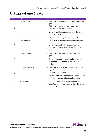### <span id="page-9-0"></span>**Unit 5.5 – Game Creator**

| Lesson         | <b>Title</b>                            | <b>Success Criteria</b>                                                                                                                                                                                                          |
|----------------|-----------------------------------------|----------------------------------------------------------------------------------------------------------------------------------------------------------------------------------------------------------------------------------|
| $\mathbf{1}$   | Setting the scene.                      | Children can review and analyse a computer<br>game.<br>Children can describe some of the elements<br>$\bullet$<br>that make a successful game.<br>Children can begin the process of designing<br>$\bullet$<br>their own game.    |
| 2              | <b>Creating the Game</b><br>Environment | Children can design the setting for their<br>$\bullet$<br>game so that it fits with the selected theme.<br>Children can upload images or use the<br>drawing tools to create the walls, floor, and<br>roof.                       |
| 3              | The Game Quest                          | Children can design characters for their<br>٠<br>game.<br>Children can decide upon, and change, the<br>animations and sounds that the characters<br>make.                                                                        |
| $\overline{4}$ | <b>Finishing and Sharing</b>            | Children can make their game more unique<br>$\bullet$<br>by selecting the appropriate options to<br>maximise the playability.<br>Children can write informative instructions for<br>their game so that other people can play it. |
| 5              | Evaluation                              | Children can evaluate my their own and<br>peers' games to help improve their design for<br>the future.                                                                                                                           |

**Need more support? Contact us:**



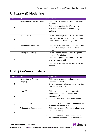### <span id="page-10-0"></span>**Unit 5.6 – 3D Modelling**

| Lesson | <b>Title</b>                 | <b>Success Criteria</b>                                                                                                                                                                                                                    |
|--------|------------------------------|--------------------------------------------------------------------------------------------------------------------------------------------------------------------------------------------------------------------------------------------|
| 1      | Introducing 2Design and Make | Children know what the 2Design and Make<br>٠<br>tool is for.<br>Children can explore the different viewpoints<br>$\bullet$<br>in 2Design and Make whilst designing a<br>building.                                                          |
| 2      | <b>Moving Points</b>         | Children can adapt one of the vehicle models<br>$\bullet$<br>by moving the points to alter the shape of the<br>vehicle while still maintaining its form.                                                                                   |
| 3      | Designing for a Purpose      | Children can explore how to edit the polygon<br>$\bullet$<br>3D models to design a 3D model for a<br>purpose.                                                                                                                              |
| 4      | <b>Printing and Making</b>   | Children can refine one of their designs to<br>٠<br>prepare it for printing.<br>Children can print their design as a 2D net<br>$\bullet$<br>and then created a 3D model.<br>Children can explore the possibilities of 3D<br>٠<br>printing. |

# <span id="page-10-1"></span>**Unit 5.7 – Concept Maps**

| <b>Lesson</b>  | <b>Title</b>                       | <b>Success Criteria</b>                                                                                                                                                       |
|----------------|------------------------------------|-------------------------------------------------------------------------------------------------------------------------------------------------------------------------------|
| 1              | Introduction to Concept<br>Mapping | Children can make connections between<br>thoughts and ideas.<br>Children can see the importance of recording<br>٠<br>concept maps visually.                                   |
| $\overline{2}$ | Using 2Connect                     | Children understand what is meant by<br>$\bullet$<br>'concept maps', 'stage', 'nodes' and<br>'connections.'<br>Children can create a basic concept map.<br>$\bullet$          |
| 3              | 2Connect Story Mode                | Children have used 2 Connect Story Mode to<br>$\bullet$<br>create an informative text.                                                                                        |
| 4              | <b>Collaborative Concept Maps</b>  | Children have used 2Connect collaboratively<br>$\bullet$<br>to create a concept map.<br>Children have used Presentation Mode to<br>present their concept maps to an audience. |

#### **Need more support? Contact us:**

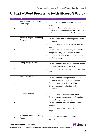### <span id="page-11-0"></span>**Unit 5.8 – Word Processing (with Microsoft Word)**

| Lesson         | <b>Title</b>                                         | <b>Success Criteria</b>                                                                                                                                                                                                                                                                |
|----------------|------------------------------------------------------|----------------------------------------------------------------------------------------------------------------------------------------------------------------------------------------------------------------------------------------------------------------------------------------|
| 1              | Making a Document from a<br><b>Blank Page</b>        | Children know what a word processing tool<br>$\bullet$<br>is for.<br>Children will be able to create a word<br>processing document altering the look of the<br>text and navigating around the document.                                                                                |
| $\overline{2}$ | Inserting Images: Considering<br>Copyright           | Children know how to add images to a word<br>document.<br>Children can edit images to reduce their file<br>٠<br>size.<br>Children know the correct way to search for<br>images that they are permitted to reuse.<br>Children know how to attribute the original<br>artist of an image. |
| 3              | <b>Editing Images in Word</b>                        | Children can edit their images within Word to<br>best present them alongside text.<br>Children understand wrapping of images and<br>text.                                                                                                                                              |
| 4              | Adding the Text                                      | Children can add appropriate text to their<br>$\bullet$<br>document, formatting in a suitable way.<br>Children can use a style set in Word.<br>$\bullet$<br>Children can use bullet points and<br>numbering.                                                                           |
| 5              | <b>Finishing Touches</b>                             | Children can add text boxes and shapes.<br>$\bullet$<br>Children can consider paragraph formatting<br>$\bullet$<br>such as line spacing, drop capitals.<br>Children can add hyperlinks to an external<br>website.<br>Children can add an automated contents<br>page.                   |
| 6              | <b>Presenting Information Using</b><br><b>Tables</b> | Children can add tables to present<br>$\bullet$<br>information.                                                                                                                                                                                                                        |

#### **Need more support? Contact us:**

Tel: +44(0)208 203 1781 | Email: support@2simple.com | Twitter: @2simplesoftware

<sup>2</sup>simple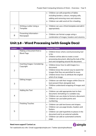|   |                                       | Children can edit properties of tables<br>$\bullet$<br>including borders, colours, merging cells,<br>adding and removing rows and columns.<br>Children can add word art for a heading.<br>$\bullet$ |
|---|---------------------------------------|-----------------------------------------------------------------------------------------------------------------------------------------------------------------------------------------------------|
| 7 | Writing a Letter Using a<br>Template  | Children can use a Word template and edit it<br>appropriately.                                                                                                                                      |
| 8 | Presenting Information -<br>Newspaper | Children can format a page using a<br>$\bullet$<br>combination of images, headers and columns.                                                                                                      |

## <span id="page-12-0"></span>**Unit 5.8 – Word Processing (with Google Docs)**

| Lesson         | <b>Title</b>                                  | <b>Success Criteria</b>                                                                                                                                                                                                                                               |
|----------------|-----------------------------------------------|-----------------------------------------------------------------------------------------------------------------------------------------------------------------------------------------------------------------------------------------------------------------------|
| $\mathbf{1}$   | Making a Document from a<br><b>Blank Page</b> | Children know what a word processing tool<br>$\bullet$<br>is for.<br>Children will be able to create a word<br>$\bullet$<br>processing document, altering the look of the<br>text and navigating around the document.                                                 |
| $\overline{2}$ | Inserting Images: Considering<br>Copyright    | Children know how to add images to a<br>$\bullet$<br>document.<br>Children know the correct way to search for<br>$\bullet$<br>images that they are permitted to reuse.<br>Children know how to attribute the original<br>$\bullet$<br>artist of an image.             |
| 3              | <b>Editing Images</b>                         | Children can edit their images within Docs to<br>$\bullet$<br>best present them alongside text.<br>Children understand wrapping of images and<br>$\bullet$<br>text.                                                                                                   |
| 4              | Adding the Text                               | Children can add appropriate text to their<br>$\bullet$<br>document, formatting in a suitable way.<br>Children can use styles to format a document.<br>$\bullet$<br>Children can use bullet points and<br>$\bullet$<br>numbering.                                     |
| 5              | <b>Finishing Touches</b>                      | Children can add text boxes and shapes.<br>$\bullet$<br>Children can use page breaks, headers and<br>$\bullet$<br>footers.<br>Children can add hyperlinks to places in the<br>document and to an external website.<br>Children can add an automated contents<br>page. |

#### **Need more support? Contact us:**

Tel: +44(0)208 203 1781 | Email: support@2simple.com | Twitter: @2simplesoftware

<sup>2</sup>simple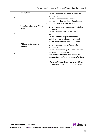| 6 | <b>Sharing Files</b>                                 | Children can share their documents with<br>selected users.<br>Children understand the different<br>permissions when sharing in Google docs.<br>Children can share using a share link.<br>$\bullet$                                                                                                                                                                  |
|---|------------------------------------------------------|---------------------------------------------------------------------------------------------------------------------------------------------------------------------------------------------------------------------------------------------------------------------------------------------------------------------------------------------------------------------|
| 7 | <b>Presenting Information Using</b><br><b>Tables</b> | Children can create a vector drawing in their<br>$\bullet$<br>document.<br>Children can add tables to present<br>$\bullet$<br>information.<br>Children can edit properties of tables<br>$\bullet$<br>including borders, colours, merging cells,<br>adding and removing rows and columns.                                                                            |
| 8 | Writing a Letter Using a<br>Template                 | Children can use a template and edit it<br>$\bullet$<br>appropriately.<br>Children can use the spelling and grammar<br>tools built into Google docs.<br>(Optional) Children know how to save a<br>$\bullet$<br>document as a pdf and the reasons for doing<br>this.<br>(Optional) Children know how to print their<br>٠<br>documents and can print ranges of pages. |



**Need more support? Contact us:**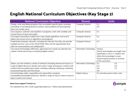# **English National Curriculum Objectives (Key Stage 2)**

| <b>National Curriculum Objective</b>                                             | <b>Strand</b>                 | <b>Units</b>                            |
|----------------------------------------------------------------------------------|-------------------------------|-----------------------------------------|
| Design, write and debug programs that accomplish specific goals, including       | <b>Computer Science</b>       | 5.1                                     |
| controlling or simulating physical systems; solve problems by decomposing        |                               | 5.5                                     |
| them into smaller parts.                                                         |                               |                                         |
| Use sequence, selection and repetition in programs; work with variables and      | <b>Computer Science</b>       | 5.1                                     |
| various forms of input and output.                                               |                               |                                         |
| Use logical reasoning to explain how some simple algorithms work and to          | <b>Computer Science</b>       | 5.1                                     |
| detect and correct errors in algorithms and programs.                            |                               |                                         |
| Understand computer networks, including the Internet; how they can provide       | <b>Computer Science</b>       | 5.2                                     |
| multiple services, such as the World Wide Web; and the opportunities they        |                               |                                         |
| offer for communication and collaboration.                                       |                               |                                         |
| Use search technologies effectively, appreciate how results are selected and     | <b>Information Technology</b> | Various                                 |
| ranked, and be discerning in evaluating digital content.                         |                               | Search technologies are taught more     |
|                                                                                  |                               | specifically in unit 4.7. Children will |
|                                                                                  |                               | utilize this knowledge in many          |
|                                                                                  |                               | Internet based sessions in all areas    |
|                                                                                  |                               | of the curriculum.                      |
| Select, use and combine a variety of software (including internet services) on a | Information Technology        | 5.1<br>5.3                              |
| range of digital devices to design and create a range of programs, systems and   |                               | 5.5<br>5.4                              |
| content that accomplish given goals, including collecting, analysing, evaluating |                               | 5.6<br>5.7                              |
| and presenting data and information.                                             |                               | 5.8                                     |
| Use technology safely, respectfully and responsibly; recognise                   | <b>Digital Literacy</b>       | 5.2 and discussed in other units        |
| acceptable/unacceptable behaviour; identify a range of ways to report concerns   |                               |                                         |
| about content and contact.                                                       |                               |                                         |

#### <span id="page-14-0"></span>**Need more support? Contact us:**

**2** simple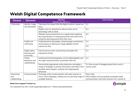# **Welsh Digital Competence Framework**

| <b>Strand</b> | <b>Element</b>             | <b>Objective</b>                                                                                             | <b>Units Covered</b>                               |
|---------------|----------------------------|--------------------------------------------------------------------------------------------------------------|----------------------------------------------------|
| Citizenship   | Identity, image            | (Learners are able to):<br>Talk about the impact that the digital content created can                        | 5.2                                                |
|               | and reputation             | have.                                                                                                        |                                                    |
|               |                            | Explain why it is important to discuss their use of                                                          | 5.2                                                |
|               |                            | technology with an adult.                                                                                    |                                                    |
|               |                            | Maintain secure passwords on a regular basis applying                                                        | 5.2                                                |
|               |                            | the characteristics of strong passwords and refrain from                                                     |                                                    |
|               |                            | using the same password more than once                                                                       |                                                    |
|               | Health and<br>well-being   | Understand the advantages, disadvantages, permissions<br>and purposes of altering an image digitally and the | 5.2                                                |
|               |                            | reasons for this.                                                                                            | 5.5                                                |
|               |                            |                                                                                                              |                                                    |
|               | Digital rights,            | Cite all sources when researching and explain the                                                            | 5.2                                                |
|               | licensing and<br>ownership | importance of this.                                                                                          |                                                    |
|               | Online                     | Understand that photographs can be edited digitally and                                                      | 5.2                                                |
|               | behaviour and              | the rights and permissions associated with this.                                                             |                                                    |
|               | cyberbullying              | Demonstrate appropriate online behaviour and apply a                                                         | 5.2 Also as part of blogging about their work in   |
|               |                            | range of strategies to protect themselves and others from                                                    | various units.                                     |
|               |                            | possible online dangers, bullying and inappropriate                                                          |                                                    |
|               |                            | behaviour                                                                                                    |                                                    |
| Interacting   | Communication              | Exchange online communication with other learners in                                                         | Most Units                                         |
| and           |                            | one or more languages, making use of a growing range of                                                      | Most children will successfully exchange online    |
| collaborating |                            | available features.                                                                                          | communication with other learners for a variety of |

#### <span id="page-15-0"></span>**Need more support? Contact us:**

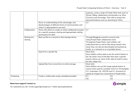|           |               |                                                            | purposes, using a range of Purple Mash tools such as     |
|-----------|---------------|------------------------------------------------------------|----------------------------------------------------------|
|           |               |                                                            | 2Email, 2Blog, collaborative functionality e.g. 2Dos,    |
|           |               |                                                            | 2Connect and 2Investige. Their skill at using more       |
|           |               |                                                            | advanced features such as searching for 2Dos.            |
|           |               | Show an understanding of the advantages and                | 5.2                                                      |
|           |               | disadvantages of different forms of communication and      |                                                          |
|           |               | when it is appropriate to use each.                        |                                                          |
|           | Collaboration | Work with others to create an online collaborative project | 5.7                                                      |
|           |               | for a specific purpose, sharing and appropriately setting  |                                                          |
|           |               | permissions for other                                      |                                                          |
|           | Storing and   | Back up files to a second or third storage device          | Through Blogging covered in several units.               |
|           | sharing       |                                                            | Using Purple Mash collaborative tools.                   |
|           |               |                                                            | Throughout Purple Mash, most children will               |
|           |               |                                                            | understand that as well as files being stored in the     |
|           |               |                                                            | cloud, they can also be downloaded and backed up         |
|           |               |                                                            | locally, on a network or on a portable device.           |
|           |               | Search for a specific file                                 | <b>Most Units</b>                                        |
|           |               |                                                            | Most children will be able to use the search feature in  |
|           |               |                                                            | the 'My Work' area to find files that meet a specific    |
|           |               |                                                            | search criteria e.g. name of file, date (if used to name |
|           |               |                                                            | the file), subject etc.                                  |
|           |               | Upload files from a local drive to online storage.         | <b>Most Units</b>                                        |
|           |               |                                                            | Most children can use the image upload feature in        |
|           |               |                                                            | various tools used for example: (Unit-5.4-2Investigate,  |
|           |               |                                                            | 5.3- 2calculate, 5.6- 2DIY3D and 5.7-2connect) to        |
|           |               |                                                            | upload an image from a local drive to Purple Mash.       |
| Producing |               | Create a written plan using a template provided.           | 5.1<br>5.5                                               |
|           |               |                                                            | 5.6<br>5.8                                               |

#### **Need more support? Contact us:**

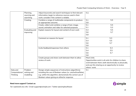#### Purple Mash Computing Scheme of Work – Overview - Year 5

|               | Planning,      | Adjust keywords and search techniques to find relevant        | 5.2,              |                                                        |
|---------------|----------------|---------------------------------------------------------------|-------------------|--------------------------------------------------------|
|               | sourcing and   | information; begin to reference sources used in their         |                   |                                                        |
|               | searching      | work; consider if the content is reliable.                    |                   |                                                        |
|               | Creating       | Combine a range of multimedia components to produce           | 5.1               | 5.5                                                    |
|               |                | an appropriate outcome.                                       | 5.8               |                                                        |
|               |                | Create, collect and combine a range of text, image,           | 5.1               | 5.5                                                    |
|               |                | sound, animation and video for selected purposes.             | 5.1               | 5.3                                                    |
|               | Evaluating and | Explain reasons for layout and content of own work            | 5.4               | 5.5                                                    |
|               | improving      |                                                               | 5.6               | 5.7                                                    |
|               |                |                                                               | 5.8               |                                                        |
|               |                | Comment on reasons for layout                                 | 5.1               | 5.3                                                    |
|               |                |                                                               | 5.4               | 5.5                                                    |
|               |                |                                                               | 5.6               | 5.7                                                    |
|               |                |                                                               | 5.8               |                                                        |
|               |                | Invite feedback/responses from others                         | 5.1               | 5.3                                                    |
|               |                |                                                               | 5.4               | 5.5                                                    |
|               |                |                                                               | 5.6               | 5.7                                                    |
|               |                |                                                               | 5.8               |                                                        |
|               |                | Create groups and share work between them to allow            | <b>Most Units</b> |                                                        |
|               |                | review of work.                                               |                   | Opportunities exist in all units for children to share |
|               |                |                                                               |                   | work between them, both electronically or physically,  |
|               |                |                                                               |                   | and use this sharing as an opportunity to review       |
|               |                |                                                               | others' work.     |                                                        |
| Data and      | Problem        | Design simple sequences of instructions (algorithms)          | 5.1               |                                                        |
| Computational | solving and    | including the use of Boolean values (i.e. yes/no/true/false), |                   |                                                        |
| Thinking      | modelling      | e.g. within the algorithm, demonstrate the correct use of     |                   |                                                        |
|               |                | Boolean values giving an either/or response.                  |                   |                                                        |

#### **Need more support? Contact us:**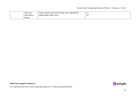#### Purple Mash Computing Scheme of Work – Overview - Year 5

| Data and    | Create, explore and analyse data sets, highlighting | <u>J.J</u> |
|-------------|-----------------------------------------------------|------------|
| information | relationships within them                           | D.4        |
| literacy    |                                                     |            |

**Need more support? Contact us:**

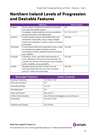# <span id="page-19-0"></span>**Northern Ireland Levels of Progression and Desirable Features**

|                | <b>Objective</b>                                   | <b>Units Covered</b> |
|----------------|----------------------------------------------------|----------------------|
| Explore        | Access, select, interpret and research information | 5.2                  |
|                | from safe and reliable sources.                    |                      |
|                | Investigate, make predictions and solve problems   | 5.1, 5.3, 5.4, 5.7   |
|                | through interaction with digital tools.            |                      |
| <b>Express</b> | Create, develop, present and publish ideas and     | All units            |
|                | information responsibly using a range of digital   |                      |
|                | media and manipulate a range of assets to produce  |                      |
|                | multimedia.                                        |                      |
| Exchange       | Communicate safely and responsibly using a range   | All units            |
|                | of contemporary digital methods and tools,         |                      |
|                | exchanging, sharing, collaborating and developing  |                      |
|                | ideas digitally.                                   |                      |
| Evaluate       | Talk about, review and make improvements to        | All units            |
|                | work, reflecting on the process and outcome, and   |                      |
|                | consider the sources and resources used, including |                      |
|                | safety, reliability and acceptability.             |                      |
| Exhibit        | Manage and present their stored work and           | <b>All Units</b>     |
|                | showcase their learning across the curriculum,     |                      |
|                | using ICT safely and responsibly.                  |                      |

| <b>Desirable Features</b>   | <b>Units Covered</b>                        |
|-----------------------------|---------------------------------------------|
| Desktop Publishing          | 5.5, 5.6, 5.7, 5.8                          |
| <b>Film and Animation</b>   | 5.5                                         |
| Interactive Design          | 5.1, 5.5                                    |
| Managing data               | 5.4                                         |
| Music and Sound             | See unit 2.7                                |
| <b>Online Communication</b> | Use of 2dos and blogging as part of lessons |
| Presenting                  | 5.5, 5.6, 5.7, 5.8                          |
| Working with Images         | 5.5, 5.6, 5.8                               |

**Need more support? Contact us:**

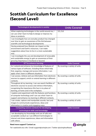# <span id="page-20-0"></span>**Scottish Curriculum for Excellence (Second Level)**

| <b>Technological developments in society</b>               | <b>Units Covered</b>            |
|------------------------------------------------------------|---------------------------------|
| When exploring technologies in the world around me, I      | 5.5, 5.6                        |
| can use what I learn to help to design or improve my       |                                 |
| ideas or products.                                         |                                 |
| I can investigate how an everyday product has changed      |                                 |
| over time to gain an awareness of the link between         |                                 |
| scientific and technological developments                  |                                 |
| Having analysed how lifestyle can impact on the            |                                 |
| environment and Earth's resources, I can make              |                                 |
| suggestions about how to live in a more sustainable        |                                 |
| way.                                                       |                                 |
| I can investigate the use and development of renewable     |                                 |
| and sustainable energy to gain an awareness of their       |                                 |
| growing importance in Scotland or beyond.                  |                                 |
| <b>ICT to enhance learning</b>                             | <b>Units Covered</b>            |
| As I extend and enhance my knowledge of features of        | By covering a variety of units. |
| various types of software, including those which help      |                                 |
| find, organise, manage and access information, I can       |                                 |
| apply what I learn in different situations.                |                                 |
| I can access, retrieve and use information from electronic | By covering a variety of units. |
| sources to support, enrich or extend learning in different |                                 |
| contexts.                                                  |                                 |
| Throughout all my learning, I can use search facilities of | By covering a variety of units. |
| electronic sources to access and retrieve information,     |                                 |
| recognising the importance this has in my place of         |                                 |
| learning, at home and in the workplace.                    |                                 |
| I explore and experiment with the features and functions   | By covering a variety of units. |
| of computer technology and I can use what I learn to       |                                 |
| support and enhance my learning in different contexts.     |                                 |
| I can create, capture and manipulate sounds, text and      | By covering a variety of units. |
| images to communicate experiences, ideas and               |                                 |
| information in creative and engaging ways.                 |                                 |
| <b>Computing science contexts for developing</b>           | <b>Units Covered</b>            |
| technological skills and knowledge                         |                                 |
| I am developing my knowledge and use of safe and           | 5.2                             |
| acceptable conduct as I use different technologies to      |                                 |
| interact and share experiences, ideas and information      |                                 |
| with others                                                |                                 |

#### **Need more support? Contact us:**

Tel: +44(0)208 203 1781 | Email: support@2simple.com | Twitter: @2simplesoftware

<sup>2</sup>simple